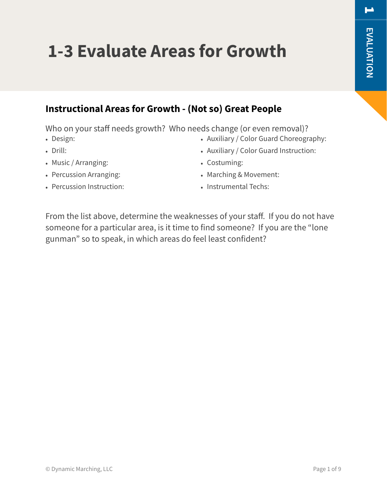# **1-3 Evaluate Areas for Growth**

### **Instructional Areas for Growth - (Not so) Great People**

Who on your staff needs growth? Who needs change (or even removal)?

- Design:
- Drill:
- Music / Arranging:
- Percussion Arranging:
- Percussion Instruction:
- Auxiliary / Color Guard Choreography:
- Auxiliary / Color Guard Instruction:
- Costuming:
- Marching & Movement:
- Instrumental Techs:

From the list above, determine the weaknesses of your staff. If you do not have someone for a particular area, is it time to find someone? If you are the "lone gunman" so to speak, in which areas do feel least confident?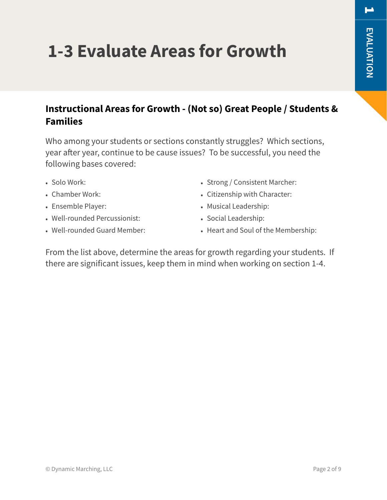# **1-3 Evaluate Areas for Growth**

### **Instructional Areas for Growth - (Not so) Great People / Students & Families**

Who among your students or sections constantly struggles? Which sections, year after year, continue to be cause issues? To be successful, you need the following bases covered:

- Solo Work:
- Chamber Work:
- Ensemble Player:
- Well-rounded Percussionist:
- Well-rounded Guard Member:
- Strong / Consistent Marcher:
- Citizenship with Character:
- Musical Leadership:
- Social Leadership:
- Heart and Soul of the Membership:

From the list above, determine the areas for growth regarding your students. If there are significant issues, keep them in mind when working on section 1-4.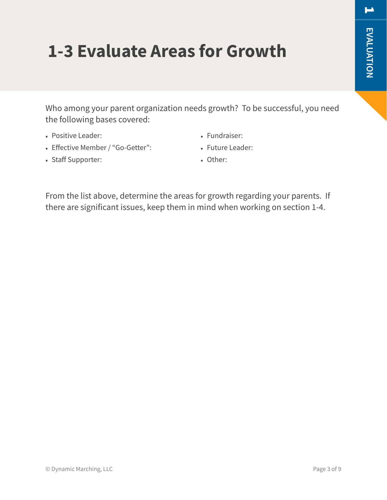## **1-3 Evaluate Areas for Growth**

Who among your parent organization needs growth? To be successful, you need the following bases covered:

- Positive Leader:
- Effective Member / "Go-Getter":
- Staff Supporter:
- Fundraiser:
- Future Leader:
- Other:

From the list above, determine the areas for growth regarding your parents. If there are significant issues, keep them in mind when working on section 1-4.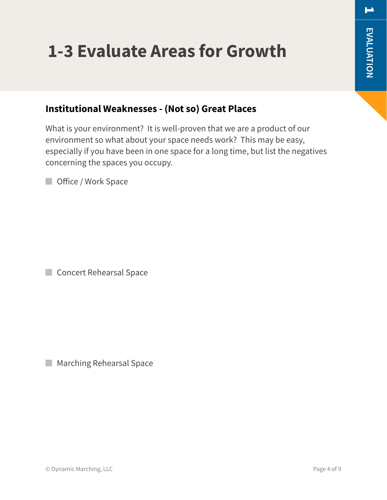# **1-3 Evaluate Areas for Growth**

#### **Institutional Weaknesses - (Not so) Great Places**

What is your environment? It is well-proven that we are a product of our environment so what about your space needs work? This may be easy, especially if you have been in one space for a long time, but list the negatives concerning the spaces you occupy.

**Office / Work Space** 

Concert Rehearsal Space

**Marching Rehearsal Space**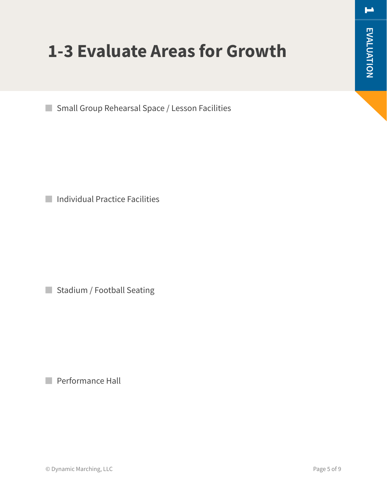# **1-3 Evaluate Areas for Growth**

Small Group Rehearsal Space / Lesson Facilities

**Individual Practice Facilities** 

Stadium / Football Seating

**Performance Hall**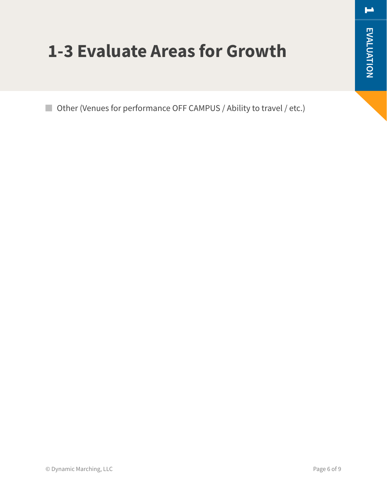$\blacksquare$ 

## **1-3 Evaluate Areas for Growth**

■ Other (Venues for performance OFF CAMPUS / Ability to travel / etc.)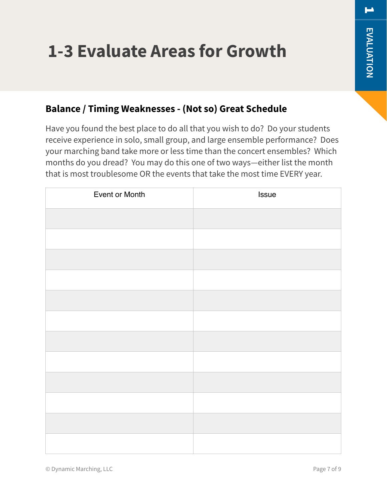# **1-3 Evaluate Areas for Growth**

#### **Balance / Timing Weaknesses - (Not so) Great Schedule**

Have you found the best place to do all that you wish to do? Do your students receive experience in solo, small group, and large ensemble performance? Does your marching band take more or less time than the concert ensembles? Which months do you dread? You may do this one of two ways—either list the month that is most troublesome OR the events that take the most time EVERY year.

| Event or Month | Issue |
|----------------|-------|
|                |       |
|                |       |
|                |       |
|                |       |
|                |       |
|                |       |
|                |       |
|                |       |
|                |       |
|                |       |
|                |       |
|                |       |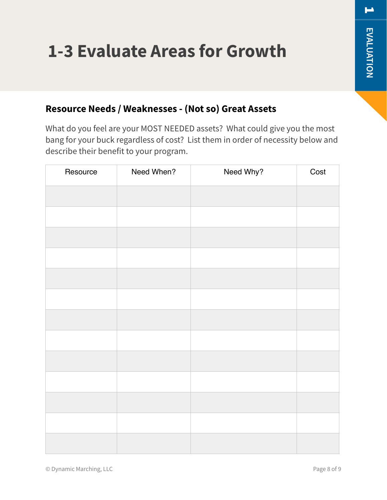# **1-3 Evaluate Areas for Growth**

#### **Resource Needs / Weaknesses - (Not so) Great Assets**

What do you feel are your MOST NEEDED assets? What could give you the most bang for your buck regardless of cost? List them in order of necessity below and describe their benefit to your program.

| Resource | Need When? | Need Why? | Cost |
|----------|------------|-----------|------|
|          |            |           |      |
|          |            |           |      |
|          |            |           |      |
|          |            |           |      |
|          |            |           |      |
|          |            |           |      |
|          |            |           |      |
|          |            |           |      |
|          |            |           |      |
|          |            |           |      |
|          |            |           |      |
|          |            |           |      |
|          |            |           |      |